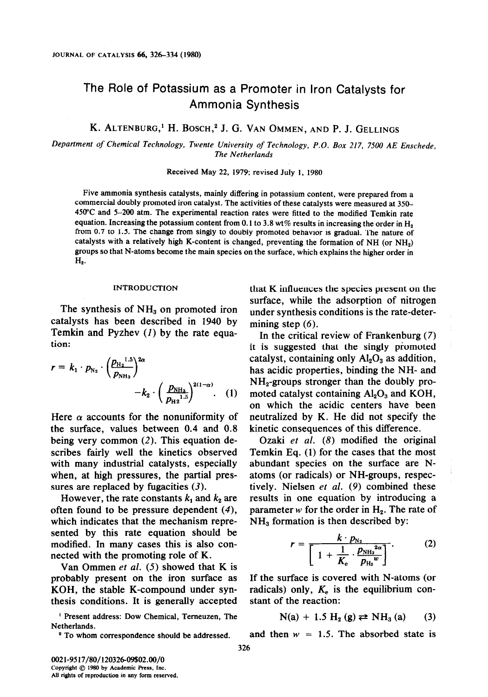# The Role of Potassium as a Promoter in Iron Catalysts for Ammonia Synthesis

K. ALTENBURG,<sup>1</sup> H. BOSCH,<sup>2</sup> J. G. VAN OMMEN, AND P. J. GELLINGS

Department of Chemical Technology, Twente University of Technology, P.O. Box 217, 7500 AE Enschede. The Netherlands

Received May 22, 1979; revised July 1, 1980

Five ammonia synthesis catalysts, mainly differing in potassium content, were prepared from a commercial doubly promoted iron catalyst. The activities of these catalysts were measured at 350- 450°C and 5-200 atm. The experimental reaction rates were fitted to the modified Temkin rate equation. Increasing the potassium content from 0.1 to 3.8 wt% results in increasing the order in  $H_2$ from 0.7 to 1.5. The change from singly to doubly promoted behavior is gradual. The nature of catalysts with a relatively high K-content is changed, preventing the formation of NH (or NH<sub>2</sub>) groups so that N-atoms become the main species on the surface, which explains the higher order in  $H<sub>2</sub>$ .

#### INTRODUCTION

The synthesis of  $NH<sub>3</sub>$  on promoted iron catalysts has been described in 1940 by Temkin and Pyzhev (I) by the rate equation:

$$
r = k_1 \cdot p_{N_2} \cdot \left(\frac{p_{H_2}^{1.5}}{p_{NH_3}}\right)^{2\alpha} - k_2 \cdot \left(\frac{p_{NH_3}}{p_{H_2}^{1.5}}\right)^{2(1-\alpha)}.
$$
 (1)

Here  $\alpha$  accounts for the nonuniformity of the surface, values between 0.4 and 0.8 being very common (2). This equation describes fairly well the kinetics observed with many industrial catalysts, especially when, at high pressures, the partial pressures are replaced by fugacities  $(3)$ .

However, the rate constants  $k_1$  and  $k_2$  are often found to be pressure dependent (4), which indicates that the mechanism represented by this rate equation should be modified. In many cases this is also connected with the promoting role of K.

Van Ommen et al. (5) showed that K is probably present on the iron surface as KOH, the stable K-compound under synthesis conditions. It is generally accepted

' present address: Dow Chemical, Temeuzen, The Netherlands.

<sup>2</sup> To whom correspondence should be addressed.

that K influences the species present on the surface, while the adsorption of nitrogen under synthesis conditions is the rate-determining step  $(6)$ .

In the critical review of Frankenburg (7) it is suggested that the singly promoted catalyst, containing only  $Al_2O_3$  as addition, has acidic properties, binding the NH- and  $NH<sub>2</sub>$ -groups stronger than the doubly promoted catalyst containing  $Al<sub>2</sub>O<sub>3</sub>$  and KOH, on which the acidic centers have been neutralized by K. He did not specify the kinetic consequences of this difference.

Ozaki et al. (8) modified the original Temkin Eq. (1) for the cases that the most abundant species on the surface are Natoms (or radicals) or NH-groups, respectively. Nielsen et al. (9) combined these results in one equation by introducing a parameter w for the order in  $H_2$ . The rate of  $NH<sub>3</sub>$  formation is then described by:

$$
r = \frac{k \cdot p_{N_2}}{\left[1 + \frac{1}{K_e} \cdot \frac{p_{N_{H_3}}^{2\alpha}}{p_{H_2}^{2\alpha}}\right]}.
$$
 (2)

If the surface is covered with N-atoms (or radicals) only,  $K<sub>e</sub>$  is the equilibrium constant of the reaction:

$$
N(a) + 1.5 H_2(g) \rightleftarrows NH_3(a) \qquad (3)
$$

and then  $w = 1.5$ . The absorbed state is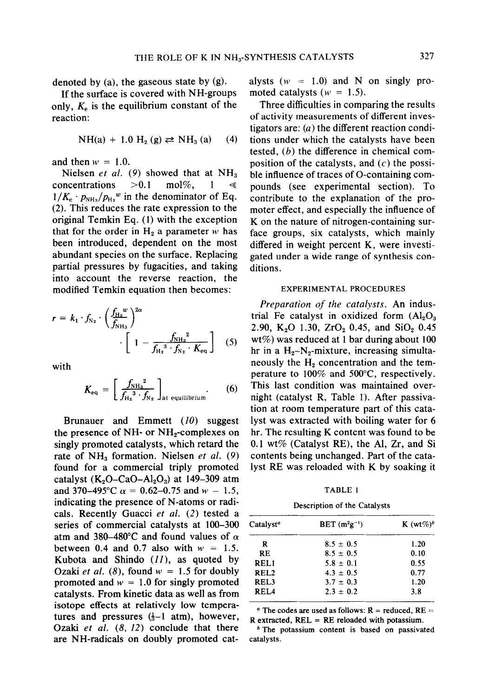denoted by  $(a)$ , the gaseous state by  $(g)$ .

If the surface is covered with NH-groups only,  $K<sub>e</sub>$  is the equilibrium constant of the reaction:

NH(a) + 1.0 H<sub>2</sub> (g) 
$$
\rightleftarrows
$$
 NH<sub>3</sub> (a) (4)

and then  $w = 1.0$ .

Nielsen et al. (9) showed that at  $NH<sub>3</sub>$ concentrations  $>0.1$  mol%, 1  $1/K_e \cdot p_{NH_3}/p_{H_2}$ <sup>w</sup> in the denominator of Eq. (2). This reduces the rate expression to the original Temkin Eq. (1) with the exception that for the order in  $H_2$  a parameter w has been introduced, dependent on the most abundant species on the surface. Replacing partial pressures by fugacities, and taking into account the reverse reaction, the modified Temkin equation then becomes:

$$
r = k_1 \cdot f_{N_2} \cdot \left(\frac{f_{H_2}^{w}}{f_{N_{H_3}}}\right)^{2\alpha} \cdot \left[1 - \frac{f_{N_{H_3}}^{2}}{f_{H_2}^{3} \cdot f_{N_2} \cdot K_{\text{eq}}} \right]
$$
 (5)

with

$$
K_{\text{eq}} = \left[\frac{f_{\text{NH}_3}^2}{f_{\text{H}_2}^3 \cdot f_{\text{N}_2}}\right]_{\text{at equilibrium}}.\qquad(6)
$$

Brunauer and Emmett  $(10)$  suggest the presence of NH- or  $NH_2$ -complexes on singly promoted catalysts, which retard the rate of  $NH<sub>3</sub>$  formation. Nielsen et al. (9) found for a commercial triply promoted catalyst  $(K_2O-CaO-Al_2O_3)$  at 149-309 atm and 370–495°C  $\alpha = 0.62{\text -}0.75$  and  $w = 1.5$ , indicating the presence of N-atoms or radicals. Recently Guacci et al. (2) tested a series of commercial catalysts at 100-300 atm and 380–480°C and found values of  $\alpha$ between 0.4 and 0.7 also with  $w = 1.5$ . Kubota and Shindo  $(11)$ , as quoted by Ozaki et al. (8), found  $w = 1.5$  for doubly promoted and  $w = 1.0$  for singly promoted catalysts. From kinetic data as well as from isotope effects at relatively low temperatures and pressures  $(\frac{1}{3}-1 \text{ atm})$ , however, Ozaki et al.  $(8, 12)$  conclude that there are NH-radicals on doubly promoted catalysts ( $w = 1.0$ ) and N on singly promoted catalysts ( $w = 1.5$ ).

Three difficulties in comparing the results of activity measurements of different investigators are:  $(a)$  the different reaction conditions under which the catalysts have been tested, (b) the difference in chemical composition of the catalysts, and  $(c)$  the possible influence of traces of O-containing compounds (see experimental section). To contribute to the explanation of the promoter effect, and especially the influence of K on the nature of nitrogen-containing surface groups, six catalysts, which mainly differed in weight percent K, were investigated under a wide range of synthesis conditions.

# EXPERIMENTAL PROCEDURES

(6) This last condition was maintained over-<br>night (catalyst R, Table 1). After passiva-Preparation of the catalysts. An industrial Fe catalyst in oxidized form  $(Al_2O_3)$ 2.90, K<sub>2</sub>O 1.30, ZrO<sub>2</sub> 0.45, and SiO<sub>2</sub> 0.45 wt%) was reduced at 1 bar during about 100 hr in a  $H_2-N_2$ -mixture, increasing simultaneously the  $H<sub>2</sub>$  concentration and the temperature to  $100\%$  and  $500^{\circ}$ C, respectively. This last condition was maintained overtion at room temperature part of this catalyst was extracted with boiling water for 6 hr. The resulting K content was found to be 0.1 wt% (Catalyst RE), the Al, Zr, and Si contents being unchanged. Part of the catalyst RE was reloaded with K by soaking it

TABLE 1

Description of the Catalysts

| Catalvst <sup>a</sup> | $BET(m^{2}g^{-1})$ | K $(wt\%)^b$ |
|-----------------------|--------------------|--------------|
| R                     | $8.5 \pm 0.5$      | 1.20         |
| RE                    | $8.5 \pm 0.5$      | 0.10         |
| REL1                  | $5.8 \pm 0.1$      | 0.55         |
| <b>REL2</b>           | $4.3 \pm 0.5$      | 0.77         |
| REL3                  | $3.7 \pm 0.3$      | 1.20         |
| REL4                  | $2.3 \pm 0.2$      | 3.8          |

<sup>*a*</sup> The codes are used as follows:  $\vec{R}$  = reduced,  $RE =$  $R$  extracted,  $REL = RE$  reloaded with potassium.

<sup>b</sup> The potassium content is based on passivated catalysts.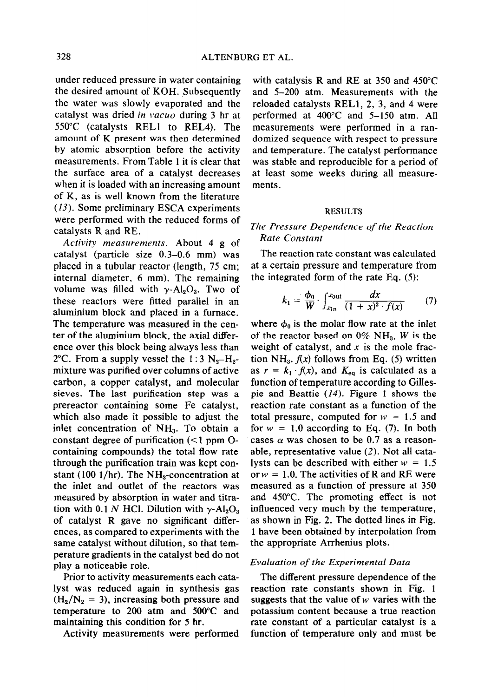under reduced pressure in water containing the desired amount of KOH. Subsequently the water was slowly evaporated and the catalyst was dried in vacuo during  $3$  hr at 550°C (catalysts RELl to REL4). The amount of K present was then determined by atomic absorption before the activity measurements. From Table 1 it is clear that the surface area of a catalyst decreases when it is loaded with an increasing amount of K, as is well known from the literature (13). Some preliminary ESCA experiments were performed with the reduced forms of catalysts R and RE.

Activity measurements. About 4 g of catalyst (particle size 0.3-0.6 mm) was placed in a tubular reactor (length, 75 cm; internal diameter, 6 mm). The remaining volume was filled with  $\gamma$ -Al<sub>2</sub>O<sub>3</sub>. Two of these reactors were fitted parallel in an aluminium block and placed in a furnace. The temperature was measured in the center of the aluminium block, the axial difference over this block being always less than 2°C. From a supply vessel the 1:3  $N_2-H_2$ mixture was purified over columns of active carbon, a copper catalyst, and molecular sieves. The last purification step was a prereactor containing some Fe catalyst, which also made it possible to adjust the inlet concentration of NH,. To obtain a constant degree of purification  $(< 1$  ppm Ocontaining compounds) the total flow rate through the purification train was kept constant (100  $1/hr$ ). The NH<sub>3</sub>-concentration at the inlet and outlet of the reactors was measured by absorption in water and titration with 0.1 N HCl. Dilution with  $\gamma$ -Al<sub>2</sub>O<sub>3</sub> of catalyst R gave no significant differences, as compared to experiments with the same catalyst without dilution, so that temperature gradients in the catalyst bed do not play a noticeable role.

Prior to activity measurements each catalyst was reduced again in synthesis gas  $(H_2/N_2 = 3)$ , increasing both pressure and temperature to 200 atm and 500°C and maintaining this condition for 5 hr.

Activity measurements were performed

with catalysis R and RE at 350 and 450°C and 5-200 atm. Measurements with the reloaded catalysts RELI, 2, 3, and 4 were performed at 400°C and 5-150 atm. All measurements were performed in a randomized sequence with respect to pressure and temperature. The catalyst performance was stable and reproducible for a period of at least some weeks during all measurements.

#### RESULTS

# The Pressure Dependence of the Reaction Rate Constant

The reaction rate constant was calculated at a certain pressure and temperature from the integrated form of the rate Eq. (5):

$$
k_1 = \frac{\phi_0}{W} \cdot \int_{x_{\text{in}}}^{x_{\text{out}}} \frac{dx}{(1+x)^2 \cdot f(x)} \tag{7}
$$

where  $\phi_0$  is the molar flow rate at the inlet of the reactor based on  $0\%$  NH<sub>3</sub>, W is the weight of catalyst, and  $x$  is the mole fraction NH<sub>3</sub>.  $f(x)$  follows from Eq. (5) written as  $r = k_1 \cdot f(x)$ , and  $K_{eq}$  is calculated as a function of temperature according to Gillespie and Beattie (14). Figure 1 shows the reaction rate constant as a function of the total pressure, computed for  $w = 1.5$  and for  $w = 1.0$  according to Eq. (7). In both cases  $\alpha$  was chosen to be 0.7 as a reasonable, representative value (2). Not all catalysts can be described with either  $w = 1.5$ or  $w = 1.0$ . The activities of R and RE were measured as a function of pressure at 350 and 450°C. The promoting effect is not influenced very much by the temperature, as shown in Fig. 2. The dotted lines in Fig. 1 have been obtained by interpolation from the appropriate Arrhenius plots.

# Evaluation of the Experimental Data

The different pressure dependence of the reaction rate constants shown in Fig. 1 suggests that the value of  $w$  varies with the potassium content because a true reaction rate constant of a particular catalyst is a function of temperature only and must be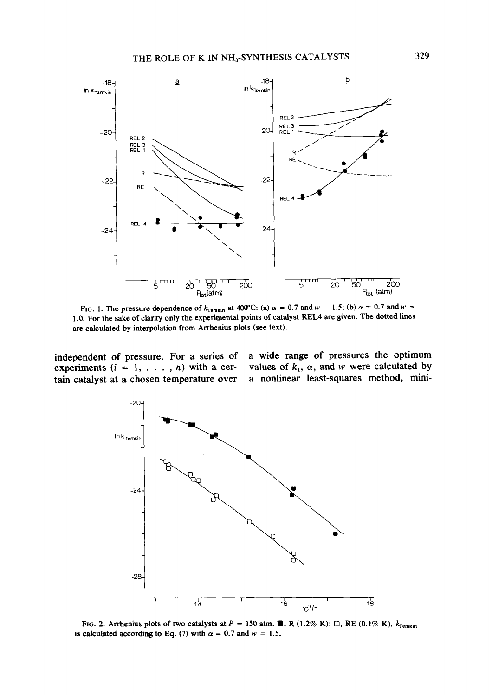

FIG. 1. The pressure dependence of  $k_{\text{Temkin}}$  at 400°C: (a)  $\alpha = 0.7$  and  $w = 1.5$ ; (b)  $\alpha = 0.7$  and  $w =$ 1 .O. For the sake of clarity only the experimental points of catalyst REL4 are given. The dotted lines are calculated by interpolation from Arrhenius plots (see text).

experiments ( $i = 1, \ldots, n$ ) with a cer- values of  $k_1$ ,  $\alpha$ , and w were calculated by tain catalyst at a chosen temperature over a nonlinear least-squares method, minitain catalyst at a chosen temperature over

independent of pressure. For a series of a wide range of pressures the optimum experiments  $(i = 1, \ldots, n)$  with a cer-values of  $k_1$ ,  $\alpha$ , and  $w$  were calculated by



FIG. 2. Arrhenius plots of two catalysts at  $P = 150$  atm. **m**, R (1.2% K);  $\Box$ , RE (0.1% K).  $k_{\text{Temkin}}$ is calculated according to Eq. (7) with  $\alpha = 0.7$  and  $w = 1.5$ .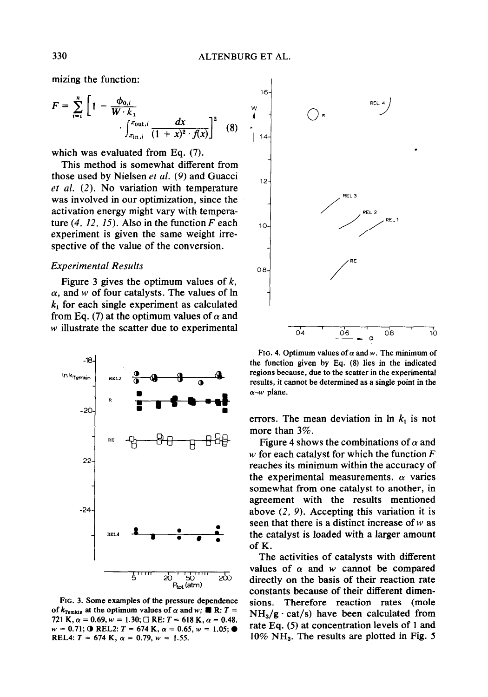mizing the function:

$$
F = \sum_{i=1}^{n} \left[ 1 - \frac{\phi_{0,i}}{W \cdot k_1} \cdot \int_{x_{\text{in},i}}^{x_{\text{out},i}} \frac{dx}{(1+x)^2 \cdot f(x)} \right]^2 \quad (8)
$$

which was evaluated from Eq. (7).

This method is somewhat different from those used by Nielsen et al. (9) and Guacci et al. (2). No variation with temperature was involved in our optimization, since the activation energy might vary with temperature  $(4, 12, 15)$ . Also in the function F each experiment is given the same weight irrespective of the value of the conversion.

# Experimental Results

Figure 3 gives the optimum values of  $k$ ,  $\alpha$ , and w of four catalysts. The values of ln  $k_1$  for each single experiment as calculated from Eq. (7) at the optimum values of  $\alpha$  and w illustrate the scatter due to experimental



FIG. 3. Some examples of the pressure dependence of  $k_{\text{Temkin}}$  at the optimum values of  $\alpha$  and w;  $\blacksquare$  R: T = 721 K,  $\alpha = 0.69$ ,  $w = 1.30$ ;  $\Box$  RE:  $T = 618$  K,  $\alpha = 0.48$ .  $w = 0.71$ ; O REL2:  $T = 674$  K,  $\alpha = 0.65$ ,  $w = 1.05$ ;  $\bullet$ REL4:  $T = 674$  K,  $\alpha = 0.79$ ,  $w = 1.55$ .



FIG. 4. Optimum values of  $\alpha$  and w. The minimum of the function given by Eq. (8) lies in the indicated regions because, due to the scatter in the experimental results, it cannot be determined as a single point in the  $\alpha$ -w plane.

errors. The mean deviation in  $\ln k_1$  is not more than 3%.

Figure 4 shows the combinations of  $\alpha$  and w for each catalyst for which the function  $F$ reaches its minimum within the accuracy of the experimental measurements.  $\alpha$  varies somewhat from one catalyst to another, in agreement with the results mentioned above (2, 9). Accepting this variation it is seen that there is a distinct increase of  $w$  as the catalyst is loaded with a larger amount of K.

The activities of catalysts with different values of  $\alpha$  and w cannot be compared directly on the basis of their reaction rate constants because of their different dimensions. Therefore reaction rates (mole  $NH<sub>3</sub>/g \cdot \text{cat/s})$  have been calculated from rate Eq. (5) at concentration levels of 1 and  $10\%$  NH<sub>3</sub>. The results are plotted in Fig. 5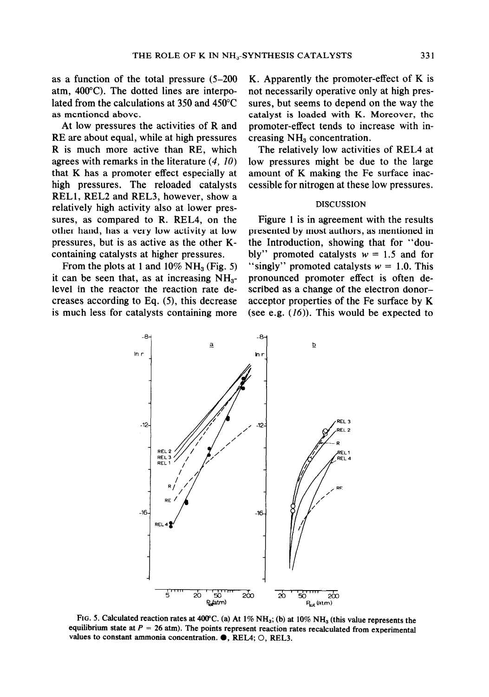as a function of the total pressure (5-200 atm, 400°C). The dotted lines are interpolated from the calculations at 350 and 450°C as mentioned above.

At low pressures the activities of R and RE are about equal, while at high pressures R is much more active than RE, which agrees with remarks in the literature (4, 10) that K has a promoter effect especially at high pressures. The reloaded catalysts RELl, REL2 and REL3, however, show a relatively high activity also at lower pressures, as compared to R. REL4, on the other hand, has a very low activity at low pressures, but is as active as the other Kcontaining catalysts at higher pressures.

From the plots at 1 and  $10\% \text{ NH}_3$  (Fig. 5) it can be seen that, as at increasing  $NH<sub>3</sub>$ level in the reactor the reaction rate decreases according to Eq. (5), this decrease is much less for catalysts containing more

K. Apparently the promoter-effect of K is not necessarily operative only at high pressures, but seems to depend on the way the catalyst is loaded with K. Moreover, the promoter-effect tends to increase with increasing  $NH<sub>3</sub>$  concentration.

The relatively low activities of REL4 at low pressures might be due to the large amount of K making the Fe surface inaccessible for nitrogen at these low pressures.

# DISCUSSION

Figure 1 is in agreement with the results presented by most authors, as mentioned in the Introduction, showing that for "doubly" promoted catalysts  $w = 1.5$  and for "singly" promoted catalysts  $w = 1.0$ . This pronounced promoter effect is often described as a change of the electron donoracceptor properties of the Fe surface by K (see e.g.  $(16)$ ). This would be expected to



FIG. 5. Calculated reaction rates at 400°C. (a) At  $1\%$  NH<sub>3</sub>; (b) at  $10\%$  NH<sub>3</sub> (this value represents the equilibrium state at  $P = 26$  atm). The points represent reaction rates recalculated from experimental values to constant ammonia concentration.  $\bullet$ , REL4; O, REL3.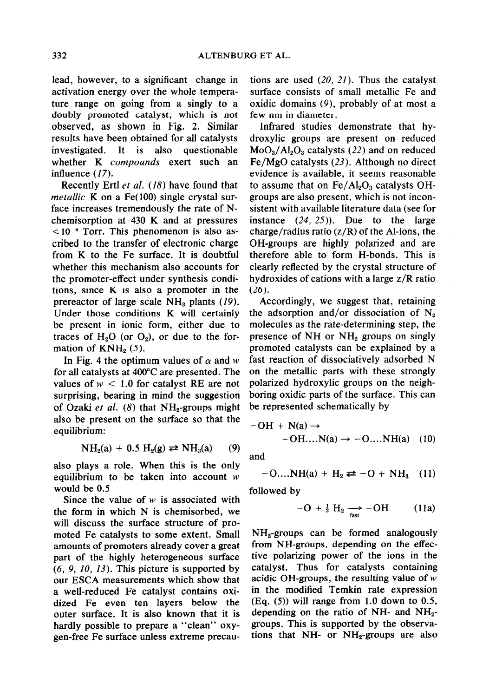lead, however, to a significant change in activation energy over the whole temperature range on going from a singly to a doubly promoted catalyst, which is not observed, as shown in Fig. 2. Similar results have been obtained for all catalysts investigated. It is also questionable whether K compounds exert such an influence (17).

Recently Ertl ef al. (18) have found that metallic K on a Fe $(100)$  single crystal surface increases tremendously the rate of Nchemisorption at 430 K and at pressures  $<$ 10<sup>-4</sup> Torr. This phenomenon is also ascribed to the transfer of electronic charge from K to the Fe surface. It is doubtful whether this mechanism also accounts for the promoter-effect under synthesis conditions, since K is also a promoter in the prereactor of large scale  $NH<sub>3</sub>$  plants (19). Under those conditions K will certainly be present in ionic form, either due to traces of  $H_2O$  (or  $O_2$ ), or due to the formation of  $KNH_2(5)$ .

In Fig. 4 the optimum values of  $\alpha$  and w for all catalysts at 400°C are presented. The values of  $w < 1.0$  for catalyst RE are not surprising, bearing in mind the suggestion of Ozaki et al.  $(8)$  that NH<sub>2</sub>-groups might also be present on the surface so that the equilibrium:

$$
NH2(a) + 0.5 H2(g) \rightleftarrows NH3(a) \qquad (9)
$$

also plays a role. When this is the only equilibrium to be taken into account  $w$ would be 0.5

Since the value of  $w$  is associated with the form in which N is chemisorbed, we will discuss the surface structure of promoted Fe catalysts to some extent. Small amounts of promoters already cover a great part of the highly heterogeneous surface  $(6, 9, 10, 13)$ . This picture is supported by our ESCA measurements which show that a well-reduced Fe catalyst contains oxidized Fe even ten layers below the outer surface. It is also known that it is hardly possible to prepare a "clean" oxygen-free Fe surface unless extreme precautions are used  $(20, 21)$ . Thus the catalyst surface consists of small metallic Fe and oxidic domains (9), probably of at most a few nm in diameter.

Infrared studies demonstrate that hydroxylic groups are present on reduced  $MoO<sub>3</sub>/Al<sub>2</sub>O<sub>3</sub>$  catalysts (22) and on reduced Fe/MgO catalysts (23). Although no direct evidence is available, it seems reasonable to assume that on  $Fe/Al<sub>2</sub>O<sub>3</sub>$  catalysts OHgroups are also present, which is not inconsistent with available literature data (see for instance  $(24, 25)$ ). Due to the large charge/radius ratio  $(z/R)$  of the Al-ions, the OH-groups are highly polarized and are therefore able to form H-bonds. This is clearly reflected by the crystal structure of hydroxides of cations with a large z/R ratio (26).

Accordingly, we suggest that, retaining the adsorption and/or dissociation of  $N_2$ molecules as the rate-determining step, the presence of  $NH_2$  groups on singly promoted catalysts can be explained by a fast reaction of dissociatively adsorbed N on the metallic parts with these strongly polarized hydroxylic groups on the neighboring oxidic parts of the surface. This can be represented schematically by

$$
-OH + N(a) \rightarrow -OH....N(a) \rightarrow -O....NH(a) (10)
$$

and

$$
-O....NH(a) + H_2 \rightleftarrows -O + NH_3 \quad (11)
$$

followed by

$$
-O + \frac{1}{2} H_2 \longrightarrow -OH \qquad (11a)
$$

 $NH<sub>2</sub>$ -groups can be formed analogously from NH-groups, depending on the effective polarizing power of the ions in the catalyst. Thus for catalysts containing acidic OH-groups, the resulting value of  $w$ in the modified Temkin rate expression  $(Eq. (5))$  will range from 1.0 down to 0.5, depending on the ratio of NH- and  $NH_{2}$ groups. This is supported by the observations that NH- or  $NH<sub>2</sub>$ -groups are also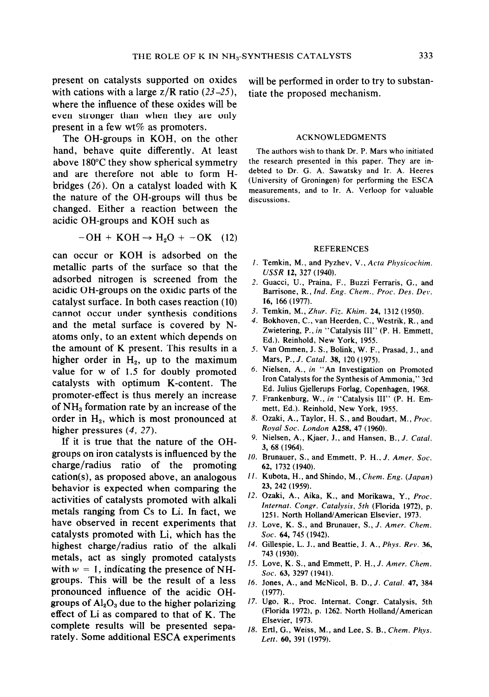with cations with a large  $z/R$  ratio (23–25), tiate the proposed mechanism. where the influence of these oxides will be even stronger than when they are only present in a few wt $%$  as promoters.

The OH-groups in KOH, on the other ACKNOWLEDGMENTS hand, behave quite differently. At least The authors wish to thank Dr. P. Mars who initiated above  $180^{\circ}$ C they show spherical symmetry the research presented in this paper. They are in-<br>and are therefore not able to form  $H_+$  debted to Dr. G. A. Sawatsky and Ir. A. Heeres and are therefore not able to form H- debted to Dr. G. A. Sawatsky and Ir. A. Heeres<br>haids a  $(26)$  Organization is distinctively in the University of Groningen) for performing the ESCA bridges (26). On a catalyst loaded with  $K$ the nature of the OH-groups will thus be changed. Either a reaction between the acidic OH-groups and KOH such as

$$
-OH + KOH \rightarrow H_2O + -OK \quad (12)
$$

can occur or KOH is adsorbed on the metallic parts of the surface so that the adsorbed nitrogen is screened from the acidic OH-groups on the oxidic parts of the catalyst surface. In both cases reaction (10) cannot occur under synthesis conditions and the metal surface is covered by Natoms only, to an extent which depends on the amount of K present. This results in a higher order in  $H_2$ , up to the maximum value for w of 1.5 for doubly promoted catalysts with optimum K-content. The promoter-effect is thus merely an increase of NH<sub>3</sub> formation rate by an increase of the order in  $H_2$ , which is most pronounced at higher pressures (4, 27).

If it is true that the nature of the OHgroups on iron catalysts is influenced by the charge/radius ratio of the promoting cation(s), as proposed above, an analogous behavior is expected when comparing the activities of catalysts promoted with alkali metals ranging from Cs to Li. In fact, we have observed in recent experiments that catalysts promoted with Li, which has the highest charge/radius ratio of the alkali metals, act as singly promoted catalysts with  $w = 1$ , indicating the presence of NHgroups. This will be the result of a less pronounced influence of the acidic OHgroups of  $Al_2O_3$  due to the higher polarizing effect of Li as compared to that of K. The complete results will be presented separately. Some additional ESCA experiments

present on catalysts supported on oxides will be performed in order to try to substan-

measurements, and to Ir. A. Verloop for valuable discussions.

# REFERENCES

- I. Temkin, M., and Pyzhev, V., Acta Physicochim. USSR 12, 327 (1940).
- 2. Guacci, U., Praina, F., Buzzi Ferraris, G., and Barrisone, R., Ind. Eng. Chem., Proc. Des. Dev. 16, 166 (1977).
- 3. Temkin, M., Zhur. Fiz. Khim. 24, 1312 (1950).
- 4. Bokhoven, C., van Heerden, C., Westrik, R., and Zwietering, P., in "Catalysis III" (P. H. Emmett, Ed.). Reinhold, New York, 1955.
- 5. Van Ommen, J. S., Bolink, W. F., Prasad, J., and Mars, P.,J. Catal. 38, 120 (1975).
- 6. Nielsen, A., in "An Investigation on Promoted Iron Catalysts for the Synthesis of Ammonia," 3rd Ed. Julius Gjellerups Forlag, Copenhagen, 1968.
- 7. Frankenburg, W., in "Catalysis III" (P. H. Emmett, Ed.). Reinhold, New York, 1955.
- 8. Ozaki, A., Taylor, H. S., and Boudart, M., Proc. Royal Soc. London **A258**, 47 (1960).
- 9. Nielsen, A., Kjaer, J., and Hansen, B., J. Catal. 3, 68 (1964).
- 10. Brunauer, S., and Emmett, P. H., J. Amer. Soc. 62, 1732 (1940).
- II. Kubota, H., and Shindo, M., Chem. Eng. (Japan) 23, 242 (1959).
- 12. Ozaki, A., Aika, K., and Morikawa, Y., Proc. fnternaf. Congr. Catalysis, 5th (Florida 1972), p. 1251. North Holland/American Elsevier, 1973.
- 13. Love, K. S., and Brunauer, S., J. Amer. Chem. Soc. 64, 745 (1942).
- 14. Gillespie, L. J., and Beattie, J. A., Phys. Rev. 36, 743 (1930).
- 15. Love, K. S., and Emmett, P. H., J. Amer. Chem. Soc. 63, 3297 (1941).
- 16. Jones, A., and McNicol, B. D., J. Catal. 47, 384 (1977).
- 17. Ugo, R., Proc. Intemat. Congr. Catalysis, 5th (Florida 1972), p. 1262. North Holland/American Elsevier, 1973.
- 18. Ertl, G., Weiss, M., and Lee, S. B., Chem. Phys. Letr. 60, 391 (1979).